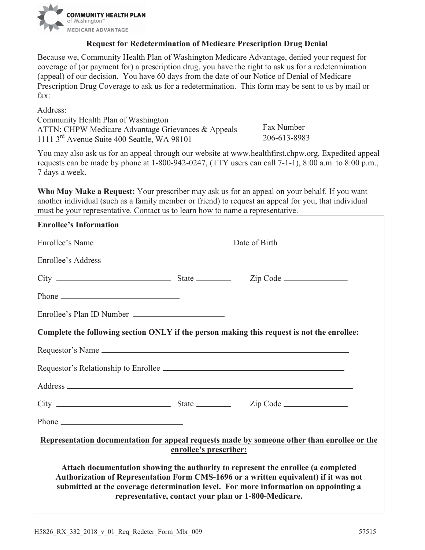

## **Request for Redetermination of Medicare Prescription Drug Denial**

Because we, Community Health Plan of Washington Medicare Advantage, denied your request for coverage of (or payment for) a prescription drug, you have the right to ask us for a redetermination (appeal) of our decision. You have 60 days from the date of our Notice of Denial of Medicare Prescription Drug Coverage to ask us for a redetermination. This form may be sent to us by mail or fax:

Address:

ATTN: CHPW Medicare Advantage Grievances & Appeals Fax Number Community Health Plan of Washington 1111 3rd Avenue Suite 400 Seattle, WA 98101 206-613-8983

 7 days a week. You may also ask us for an appeal through our website at [www.healthfirst.chpw.org.](www.healthfirst.chpw.org) Expedited appeal requests can be made by phone at 1-800-942-0247, (TTY users can call 7-1-1), 8:00 a.m. to 8:00 p.m.,

**Who May Make a Request:** Your prescriber may ask us for an appeal on your behalf. If you want another individual (such as a family member or friend) to request an appeal for you, that individual must be your representative. Contact us to learn how to name a representative.

| <b>Enrollee's Information</b>                                                                                                                                                                                                                                                                                                                                                                                 |  |  |  |
|---------------------------------------------------------------------------------------------------------------------------------------------------------------------------------------------------------------------------------------------------------------------------------------------------------------------------------------------------------------------------------------------------------------|--|--|--|
|                                                                                                                                                                                                                                                                                                                                                                                                               |  |  |  |
|                                                                                                                                                                                                                                                                                                                                                                                                               |  |  |  |
|                                                                                                                                                                                                                                                                                                                                                                                                               |  |  |  |
|                                                                                                                                                                                                                                                                                                                                                                                                               |  |  |  |
| Enrollee's Plan ID Number                                                                                                                                                                                                                                                                                                                                                                                     |  |  |  |
| Complete the following section ONLY if the person making this request is not the enrollee:                                                                                                                                                                                                                                                                                                                    |  |  |  |
|                                                                                                                                                                                                                                                                                                                                                                                                               |  |  |  |
| Requestor's Relationship to Enrollee                                                                                                                                                                                                                                                                                                                                                                          |  |  |  |
|                                                                                                                                                                                                                                                                                                                                                                                                               |  |  |  |
|                                                                                                                                                                                                                                                                                                                                                                                                               |  |  |  |
| Phone $\frac{1}{\sqrt{1-\frac{1}{2}}\sqrt{1-\frac{1}{2}}\sqrt{1-\frac{1}{2}}\sqrt{1-\frac{1}{2}}\sqrt{1-\frac{1}{2}}\sqrt{1-\frac{1}{2}}\sqrt{1-\frac{1}{2}}\sqrt{1-\frac{1}{2}}\sqrt{1-\frac{1}{2}}\sqrt{1-\frac{1}{2}}\sqrt{1-\frac{1}{2}}\sqrt{1-\frac{1}{2}}\sqrt{1-\frac{1}{2}}\sqrt{1-\frac{1}{2}}\sqrt{1-\frac{1}{2}}\sqrt{1-\frac{1}{2}}\sqrt{1-\frac{1}{2}}\sqrt{1-\frac{1}{2}}\sqrt{1-\frac{1}{2}}$ |  |  |  |
| Representation documentation for appeal requests made by someone other than enrollee or the<br>enrollee's prescriber:                                                                                                                                                                                                                                                                                         |  |  |  |
| Attach documentation showing the authority to represent the enrollee (a completed<br>Authorization of Representation Form CMS-1696 or a written equivalent) if it was not<br>submitted at the coverage determination level. For more information on appointing a<br>representative, contact your plan or 1-800-Medicare.                                                                                      |  |  |  |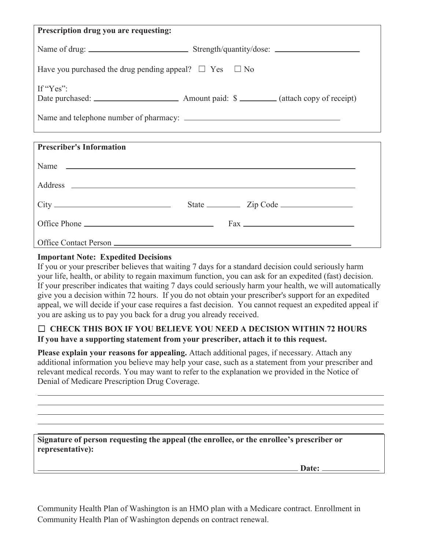| Prescription drug you are requesting:                                                                        |  |  |
|--------------------------------------------------------------------------------------------------------------|--|--|
|                                                                                                              |  |  |
| Have you purchased the drug pending appeal? $\Box$ Yes $\Box$ No                                             |  |  |
| If "Yes":<br>Date purchased: <u>______________________</u> Amount paid: \$ ________ (attach copy of receipt) |  |  |
| <b>Prescriber's Information</b>                                                                              |  |  |
| Name $\overline{\phantom{a}}$                                                                                |  |  |
|                                                                                                              |  |  |
|                                                                                                              |  |  |
|                                                                                                              |  |  |

## **Important Note: Expedited Decisions**

Office Contact Person

 If you or your prescriber believes that waiting 7 days for a standard decision could seriously harm If your prescriber indicates that waiting 7 days could seriously harm your health, we will automatically you are asking us to pay you back for a drug you already received. your life, health, or ability to regain maximum function, you can ask for an expedited (fast) decision. give you a decision within 72 hours. If you do not obtain your prescriber's support for an expedited appeal, we will decide if your case requires a fast decision. You cannot request an expedited appeal if

## ܆ **CHECK THIS BOX IF YOU BELIEVE YOU NEED A DECISION WITHIN 72 HOURS If you have a supporting statement from your prescriber, attach it to this request.**

**Please explain your reasons for appealing.** Attach additional pages, if necessary. Attach any additional information you believe may help your case, such as a statement from your prescriber and relevant medical records. You may want to refer to the explanation we provided in the Notice of Denial of Medicare Prescription Drug Coverage.

**Signature of person requesting the appeal (the enrollee, or the enrollee's prescriber or representative):** 

**Date:** 

Community Health Plan of Washington is an HMO plan with a Medicare contract. Enrollment in Community Health Plan of Washington depends on contract renewal.